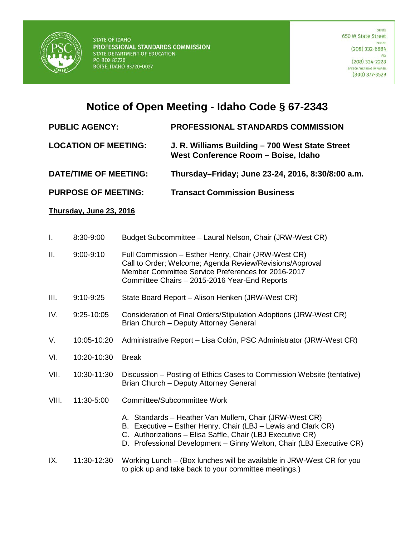

# **Notice of Open Meeting - Idaho Code § 67-2343**

# **PUBLIC AGENCY: PROFESSIONAL STANDARDS COMMISSION**

### **LOCATION OF MEETING: J. R. Williams Building – 700 West State Street West Conference Room – Boise, Idaho**

## **DATE/TIME OF MEETING: Thursday–Friday; June 23-24, 2016, 8:30/8:00 a.m.**

**PURPOSE OF MEETING: Transact Commission Business**

### **Thursday, June 23, 2016**

| I.    | 8:30-9:00     | Budget Subcommittee - Laural Nelson, Chair (JRW-West CR)                                                                                                                                                                                                      |
|-------|---------------|---------------------------------------------------------------------------------------------------------------------------------------------------------------------------------------------------------------------------------------------------------------|
| Ш.    | $9:00 - 9:10$ | Full Commission - Esther Henry, Chair (JRW-West CR)<br>Call to Order; Welcome; Agenda Review/Revisions/Approval<br>Member Committee Service Preferences for 2016-2017<br>Committee Chairs - 2015-2016 Year-End Reports                                        |
| III.  | $9:10-9:25$   | State Board Report - Alison Henken (JRW-West CR)                                                                                                                                                                                                              |
| IV.   | 9:25-10:05    | Consideration of Final Orders/Stipulation Adoptions (JRW-West CR)<br>Brian Church - Deputy Attorney General                                                                                                                                                   |
| V.    | 10:05-10:20   | Administrative Report - Lisa Colón, PSC Administrator (JRW-West CR)                                                                                                                                                                                           |
| VI.   | 10:20-10:30   | <b>Break</b>                                                                                                                                                                                                                                                  |
| VII.  | 10:30-11:30   | Discussion – Posting of Ethics Cases to Commission Website (tentative)<br>Brian Church - Deputy Attorney General                                                                                                                                              |
| VIII. | 11:30-5:00    | Committee/Subcommittee Work                                                                                                                                                                                                                                   |
|       |               | A. Standards - Heather Van Mullem, Chair (JRW-West CR)<br>B. Executive – Esther Henry, Chair (LBJ – Lewis and Clark CR)<br>C. Authorizations - Elisa Saffle, Chair (LBJ Executive CR)<br>D. Professional Development - Ginny Welton, Chair (LBJ Executive CR) |
| IX.   | 11:30-12:30   | Working Lunch - (Box lunches will be available in JRW-West CR for you<br>to pick up and take back to your committee meetings.)                                                                                                                                |